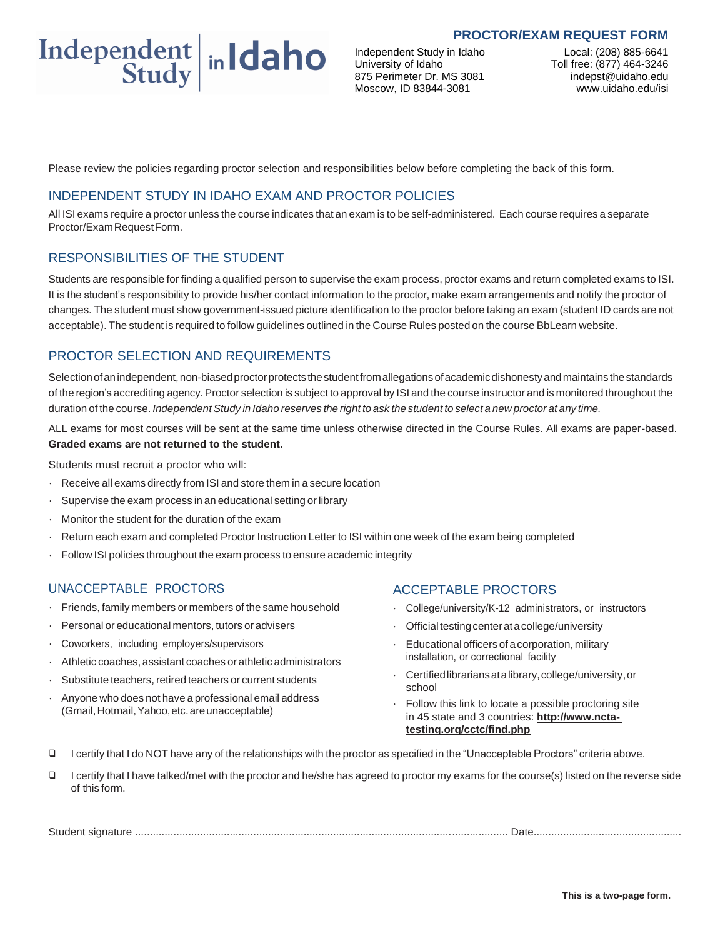#### **PROCTOR/EXAM REQUEST FORM**



Independent Study in Idaho University of Idaho 875 Perimeter Dr. MS 3081 Moscow, ID 83844-3081

Local: (208) 885-6641 Toll free: (877) 464-3246 indepst@uidaho.edu www.uidaho.edu/isi

Please review the policies regarding proctor selection and responsibilities below before completing the back of this form.

### INDEPENDENT STUDY IN IDAHO EXAM AND PROCTOR POLICIES

All ISI exams require a proctor unless the course indicates that an exam is to be self-administered. Each course requires a separate Proctor/ExamRequestForm.

### RESPONSIBILITIES OF THE STUDENT

Students are responsible for finding a qualified person to supervise the exam process, proctor exams and return completed exams to ISI. It is the student's responsibility to provide his/her contact information to the proctor, make exam arrangements and notify the proctor of changes. The student must show government-issued picture identification to the proctor before taking an exam (student ID cards are not acceptable). The student is required to follow guidelines outlined in the Course Rules posted on the course BbLearn website.

## PROCTOR SELECTION AND REQUIREMENTS

Selection of an independent, non-biased proctor protects the student from allegations of academic dishonesty and maintains the standards of the region's accrediting agency.Proctor selection is subject to approval by ISI and the course instructor and is monitored throughout the duration of the course. Independent Study in Idaho reserves the right to ask the student to select a new proctor at any time.

ALL exams for most courses will be sent at the same time unless otherwise directed in the Course Rules. All exams are paper-based. **Graded exams are not returned to the student.**

Students must recruit a proctor who will:

- $\cdot$  Receive all exams directly from ISI and store them in a secure location
- Supervise the exam process in an educational setting or library
- Monitor the student for the duration of the exam
- Return each exam and completed Proctor Instruction Letter to ISI within one week of the exam being completed
- Follow ISI policies throughout the exam process to ensure academic integrity

# UNACCEPTABLE PROCTORS

- Friends, family members or members of the same household
- Personal or educational mentors, tutors or advisers
- Coworkers, including employers/supervisors
- Athletic coaches, assistant coaches or athletic administrators
- Substitute teachers, retired teachers or current students
- Anyone who does not have a professional email address (Gmail,Hotmail,Yahoo,etc.areunacceptable)

### ACCEPTABLE PROCTORS

- College/university/K-12 administrators, or instructors
- Official testing center at a college/university
- Educational officers of acorporation, military installation, or correctional facility
- Certifiedlibrariansatalibrary,college/university,or school
- Follow this link to locate a possible proctoring site in 45 state and 3 countries: **http://www.nctatesting.org/cctc/find.php**
- ❑ I certify that I do NOT have any of the relationships with the proctor as specified in the "Unacceptable Proctors" criteria above.
- ❑ I certify that I have talked/met with the proctor and he/she has agreed to proctor my exams for the course(s) listed on the reverse side of this form.

| Student signature | Date $\ldots$ |
|-------------------|---------------|
|-------------------|---------------|